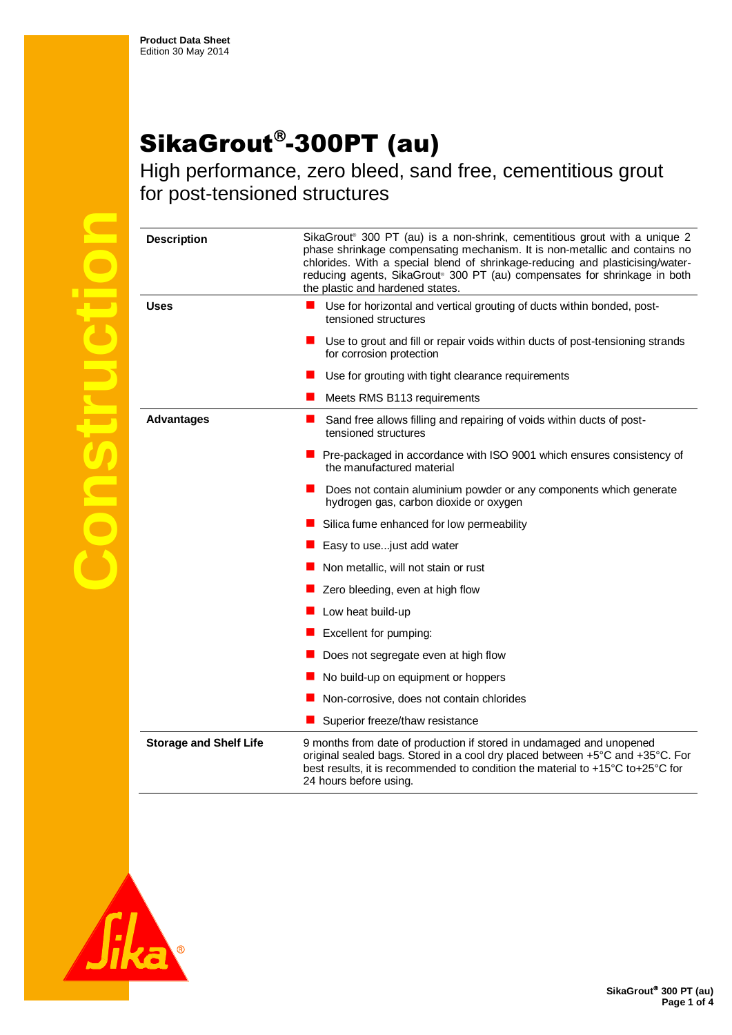## SikaGrout®-300PT (au)

High performance, zero bleed, sand free, cementitious grout for post-tensioned structures

**Construction**

| <b>Description</b>            | SikaGrout® 300 PT (au) is a non-shrink, cementitious grout with a unique 2<br>phase shrinkage compensating mechanism. It is non-metallic and contains no<br>chlorides. With a special blend of shrinkage-reducing and plasticising/water-<br>reducing agents, SikaGrout® 300 PT (au) compensates for shrinkage in both<br>the plastic and hardened states. |
|-------------------------------|------------------------------------------------------------------------------------------------------------------------------------------------------------------------------------------------------------------------------------------------------------------------------------------------------------------------------------------------------------|
| Uses                          | Use for horizontal and vertical grouting of ducts within bonded, post-<br>tensioned structures                                                                                                                                                                                                                                                             |
|                               | Use to grout and fill or repair voids within ducts of post-tensioning strands<br>for corrosion protection                                                                                                                                                                                                                                                  |
|                               | Use for grouting with tight clearance requirements                                                                                                                                                                                                                                                                                                         |
|                               | Meets RMS B113 requirements                                                                                                                                                                                                                                                                                                                                |
| <b>Advantages</b>             | Sand free allows filling and repairing of voids within ducts of post-<br>tensioned structures                                                                                                                                                                                                                                                              |
|                               | Pre-packaged in accordance with ISO 9001 which ensures consistency of<br>the manufactured material                                                                                                                                                                                                                                                         |
|                               | Does not contain aluminium powder or any components which generate<br>hydrogen gas, carbon dioxide or oxygen                                                                                                                                                                                                                                               |
|                               | Silica fume enhanced for low permeability                                                                                                                                                                                                                                                                                                                  |
|                               | Easy to usejust add water                                                                                                                                                                                                                                                                                                                                  |
|                               | Non metallic, will not stain or rust                                                                                                                                                                                                                                                                                                                       |
|                               | Zero bleeding, even at high flow                                                                                                                                                                                                                                                                                                                           |
|                               | Low heat build-up                                                                                                                                                                                                                                                                                                                                          |
|                               | Excellent for pumping:                                                                                                                                                                                                                                                                                                                                     |
|                               | Does not segregate even at high flow                                                                                                                                                                                                                                                                                                                       |
|                               | No build-up on equipment or hoppers                                                                                                                                                                                                                                                                                                                        |
|                               | Non-corrosive, does not contain chlorides                                                                                                                                                                                                                                                                                                                  |
|                               | Superior freeze/thaw resistance                                                                                                                                                                                                                                                                                                                            |
| <b>Storage and Shelf Life</b> | 9 months from date of production if stored in undamaged and unopened<br>original sealed bags. Stored in a cool dry placed between +5°C and +35°C. For<br>best results, it is recommended to condition the material to +15°C to+25°C for<br>24 hours before using.                                                                                          |

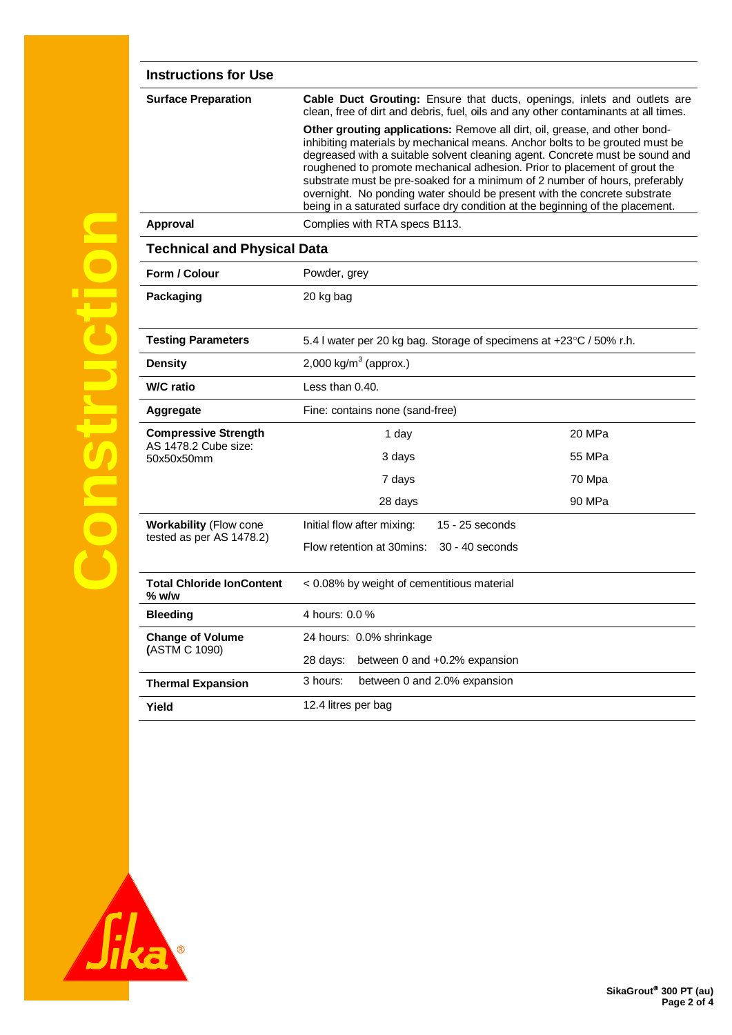| <b>Instructions for Use</b>               |                                                                                                                                                                                                                                                                                                                                                                                                                                                                                                                                                                      |  |  |  |
|-------------------------------------------|----------------------------------------------------------------------------------------------------------------------------------------------------------------------------------------------------------------------------------------------------------------------------------------------------------------------------------------------------------------------------------------------------------------------------------------------------------------------------------------------------------------------------------------------------------------------|--|--|--|
| <b>Surface Preparation</b>                | Cable Duct Grouting: Ensure that ducts, openings, inlets and outlets are<br>clean, free of dirt and debris, fuel, oils and any other contaminants at all times.                                                                                                                                                                                                                                                                                                                                                                                                      |  |  |  |
|                                           | Other grouting applications: Remove all dirt, oil, grease, and other bond-<br>inhibiting materials by mechanical means. Anchor bolts to be grouted must be<br>degreased with a suitable solvent cleaning agent. Concrete must be sound and<br>roughened to promote mechanical adhesion. Prior to placement of grout the<br>substrate must be pre-soaked for a minimum of 2 number of hours, preferably<br>overnight. No ponding water should be present with the concrete substrate<br>being in a saturated surface dry condition at the beginning of the placement. |  |  |  |
| Approval                                  | Complies with RTA specs B113.                                                                                                                                                                                                                                                                                                                                                                                                                                                                                                                                        |  |  |  |
| <b>Technical and Physical Data</b>        |                                                                                                                                                                                                                                                                                                                                                                                                                                                                                                                                                                      |  |  |  |
| Form / Colour                             | Powder, grey                                                                                                                                                                                                                                                                                                                                                                                                                                                                                                                                                         |  |  |  |
| Packaging                                 | 20 kg bag                                                                                                                                                                                                                                                                                                                                                                                                                                                                                                                                                            |  |  |  |
| <b>Testing Parameters</b>                 | 5.4 I water per 20 kg bag. Storage of specimens at +23°C / 50% r.h.                                                                                                                                                                                                                                                                                                                                                                                                                                                                                                  |  |  |  |
| <b>Density</b>                            | 2,000 kg/m <sup>3</sup> (approx.)                                                                                                                                                                                                                                                                                                                                                                                                                                                                                                                                    |  |  |  |
| <b>W/C</b> ratio                          | Less than 0.40.                                                                                                                                                                                                                                                                                                                                                                                                                                                                                                                                                      |  |  |  |
| Aggregate                                 | Fine: contains none (sand-free)                                                                                                                                                                                                                                                                                                                                                                                                                                                                                                                                      |  |  |  |
| <b>Compressive Strength</b>               | 20 MPa<br>1 day                                                                                                                                                                                                                                                                                                                                                                                                                                                                                                                                                      |  |  |  |
| AS 1478.2 Cube size:<br>50x50x50mm        | 3 days<br>55 MPa                                                                                                                                                                                                                                                                                                                                                                                                                                                                                                                                                     |  |  |  |
|                                           | 7 days<br>70 Mpa                                                                                                                                                                                                                                                                                                                                                                                                                                                                                                                                                     |  |  |  |
|                                           | 90 MPa<br>28 days                                                                                                                                                                                                                                                                                                                                                                                                                                                                                                                                                    |  |  |  |
| <b>Workability (Flow cone</b>             | Initial flow after mixing:<br>15 - 25 seconds                                                                                                                                                                                                                                                                                                                                                                                                                                                                                                                        |  |  |  |
| tested as per AS 1478.2)                  | Flow retention at 30mins:<br>30 - 40 seconds                                                                                                                                                                                                                                                                                                                                                                                                                                                                                                                         |  |  |  |
| <b>Total Chloride lonContent</b><br>% w/w | < 0.08% by weight of cementitious material                                                                                                                                                                                                                                                                                                                                                                                                                                                                                                                           |  |  |  |
| <b>Bleeding</b>                           | 4 hours: 0.0 %                                                                                                                                                                                                                                                                                                                                                                                                                                                                                                                                                       |  |  |  |
| <b>Change of Volume</b>                   | 24 hours: 0.0% shrinkage                                                                                                                                                                                                                                                                                                                                                                                                                                                                                                                                             |  |  |  |
| (ASTM C 1090)                             | 28 days:<br>between 0 and +0.2% expansion                                                                                                                                                                                                                                                                                                                                                                                                                                                                                                                            |  |  |  |
| <b>Thermal Expansion</b>                  | 3 hours:<br>between 0 and 2.0% expansion                                                                                                                                                                                                                                                                                                                                                                                                                                                                                                                             |  |  |  |
| Yield                                     | 12.4 litres per bag                                                                                                                                                                                                                                                                                                                                                                                                                                                                                                                                                  |  |  |  |
|                                           |                                                                                                                                                                                                                                                                                                                                                                                                                                                                                                                                                                      |  |  |  |

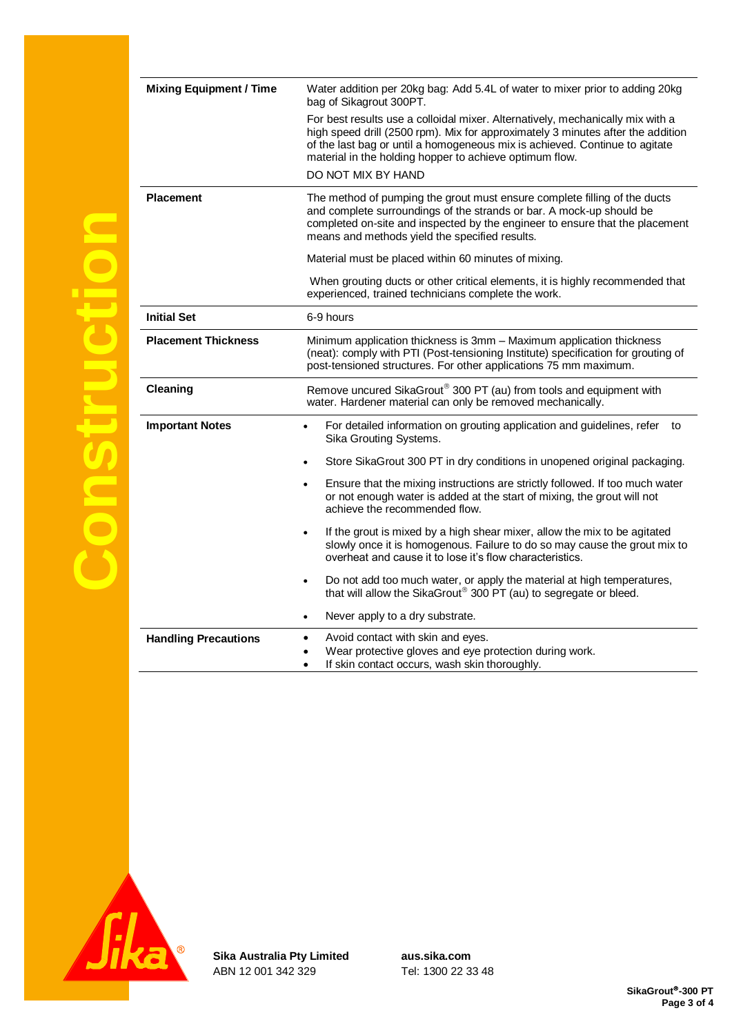| <b>Mixing Equipment / Time</b> | Water addition per 20kg bag: Add 5.4L of water to mixer prior to adding 20kg<br>bag of Sikagrout 300PT.                                                                                                                                                                                                                           |
|--------------------------------|-----------------------------------------------------------------------------------------------------------------------------------------------------------------------------------------------------------------------------------------------------------------------------------------------------------------------------------|
|                                | For best results use a colloidal mixer. Alternatively, mechanically mix with a<br>high speed drill (2500 rpm). Mix for approximately 3 minutes after the addition<br>of the last bag or until a homogeneous mix is achieved. Continue to agitate<br>material in the holding hopper to achieve optimum flow.<br>DO NOT MIX BY HAND |
| <b>Placement</b>               | The method of pumping the grout must ensure complete filling of the ducts<br>and complete surroundings of the strands or bar. A mock-up should be<br>completed on-site and inspected by the engineer to ensure that the placement<br>means and methods yield the specified results.                                               |
|                                | Material must be placed within 60 minutes of mixing.                                                                                                                                                                                                                                                                              |
|                                | When grouting ducts or other critical elements, it is highly recommended that<br>experienced, trained technicians complete the work.                                                                                                                                                                                              |
| <b>Initial Set</b>             | 6-9 hours                                                                                                                                                                                                                                                                                                                         |
| <b>Placement Thickness</b>     | Minimum application thickness is 3mm - Maximum application thickness<br>(neat): comply with PTI (Post-tensioning Institute) specification for grouting of<br>post-tensioned structures. For other applications 75 mm maximum.                                                                                                     |
| <b>Cleaning</b>                | Remove uncured SikaGrout® 300 PT (au) from tools and equipment with<br>water. Hardener material can only be removed mechanically.                                                                                                                                                                                                 |
| <b>Important Notes</b>         | For detailed information on grouting application and guidelines, refer to<br>$\bullet$<br>Sika Grouting Systems.                                                                                                                                                                                                                  |
|                                | Store SikaGrout 300 PT in dry conditions in unopened original packaging.<br>$\bullet$                                                                                                                                                                                                                                             |
|                                | Ensure that the mixing instructions are strictly followed. If too much water<br>٠<br>or not enough water is added at the start of mixing, the grout will not<br>achieve the recommended flow.                                                                                                                                     |
|                                | If the grout is mixed by a high shear mixer, allow the mix to be agitated<br>$\bullet$<br>slowly once it is homogenous. Failure to do so may cause the grout mix to<br>overheat and cause it to lose it's flow characteristics.                                                                                                   |
|                                | Do not add too much water, or apply the material at high temperatures,<br>$\bullet$<br>that will allow the SikaGrout® 300 PT (au) to segregate or bleed.                                                                                                                                                                          |
|                                | Never apply to a dry substrate.<br>٠                                                                                                                                                                                                                                                                                              |
| <b>Handling Precautions</b>    | Avoid contact with skin and eyes.<br>Wear protective gloves and eye protection during work.<br>If skin contact occurs, wash skin thoroughly.                                                                                                                                                                                      |



**Sika Australia Pty Limited aus.sika.com** ABN 12 001 342 329 Tel: 1300 22 33 48